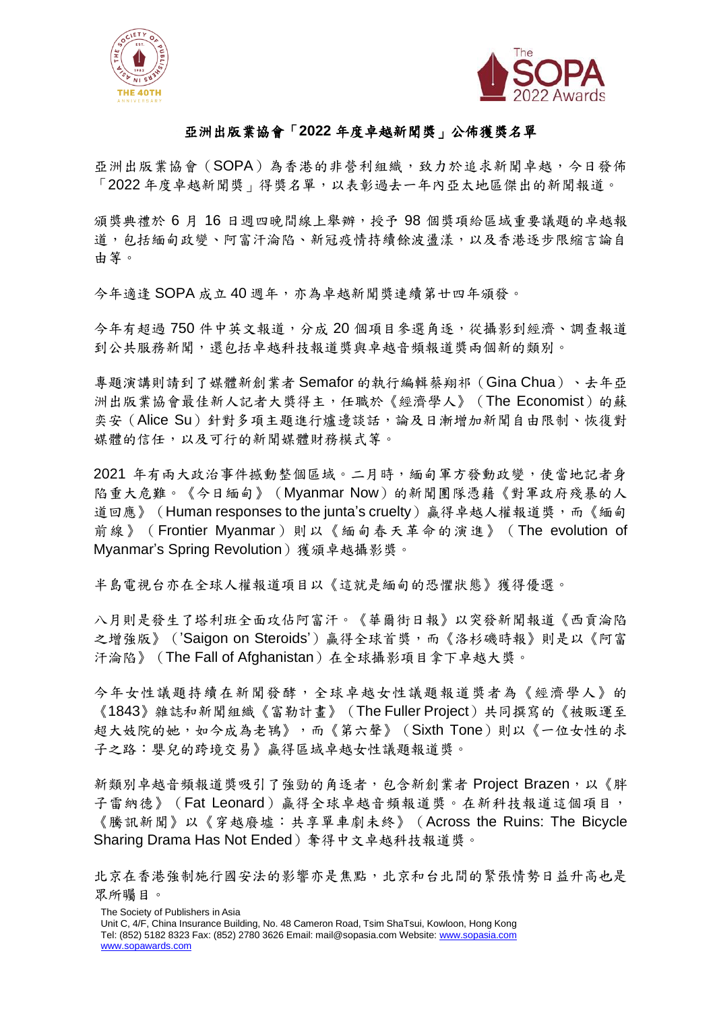



## 亞洲出版業協會「**2022** 年度卓越新聞獎」公佈獲獎名單

亞洲出版業協會(SOPA)為香港的非營利組織,致力於追求新聞卓越,今日發佈 「2022 年度卓越新聞獎」得獎名單,以表彰過去一年內亞太地區傑出的新聞報道。

頒獎典禮於 6 月 16 日週四晚間線上舉辦,授予 98 個獎項給區域重要議題的卓越報 道,包括緬甸政變、阿富汗淪陷、新冠疫情持續餘波盪漾,以及香港逐步限縮言論自 由等。

今年適逢 SOPA 成立 40 週年,亦為卓越新聞獎連續第廿四年頒發。

今年有超過750件中英文報道,分成20個項目參選角逐,從攝影到經濟、調查報道 到公共服務新聞,還包括卓越科技報道獎與卓越音頻報道獎兩個新的類別。

專題演講則請到了媒體新創業者 Semafor 的執行編輯蔡翔祁(Gina Chua)、去年亞 洲出版業協會最佳新人記者大獎得主,任職於《經濟學人》(The Economist)的蘇 奕安(Alice Su)針對多項主題進行爐邊談話,論及日漸增加新聞自由限制、恢復對 媒體的信任,以及可行的新聞媒體財務模式等。

2021 年有兩大政治事件撼動整個區域。二月時,緬甸軍方發動政變,使當地記者身 陷重大危難。《今日緬甸》(Myanmar Now)的新聞團隊憑藉《對軍政府殘暴的人 道回應》(Human responses to the junta's cruelty)贏得卓越人權報道獎,而《緬甸 前線》 (Frontier Myanmar)則以《緬甸春天革命的演進》 (The evolution of Myanmar's Spring Revolution)獲頒卓越攝影獎。

半島電視台亦在全球人權報道項目以《這就是緬甸的恐懼狀態》獲得優選。

八月則是發生了塔利班全面攻佔阿富汗。《華爾街日報》以突發新聞報道《西貢淪陷 之增強版》('Saigon on Steroids')贏得全球首獎,而《洛杉磯時報》則是以《阿富 汗淪陷》(The Fall of Afghanistan)在全球攝影項目拿下卓越大獎。

今年女性議題持續在新聞發酵,全球卓越女性議題報道獎者為《經濟學人》的 《1843》雜誌和新聞組織《富勒計畫》(The Fuller Project)共同撰寫的《被販運至 超大妓院的她,如今成為老鴇》,而《第六聲》(Sixth Tone)則以《一位女性的求 子之路:嬰兒的跨境交易》贏得區域卓越女性議題報道獎。

新類別卓越音頻報道獎吸引了強勁的角逐者,包含新創業者 Project Brazen,以《胖 子雷納德》(Fat Leonard)贏得全球卓越音頻報道獎。在新科技報道這個項目, 《騰訊新聞》以《穿越廢墟:共享單車劇未終》(Across the Ruins: The Bicycle Sharing Drama Has Not Ended) 奪得中文卓越科技報道獎。

The Society of Publishers in Asia

北京在香港強制施行國安法的影響亦是焦點,北京和台北間的緊張情勢日益升高也是 眾所矚目。

Unit C, 4/F, China Insurance Building, No. 48 Cameron Road, Tsim ShaTsui, Kowloon, Hong Kong Tel: (852) 5182 8323 Fax: (852) 2780 3626 Email: [mail@sopasia.com](mailto:mail@sopasia.com) Website: [www.sopasia.com](http://www.sopasia.com/) [www.sopawards.com](http://www.sopawards.com/)